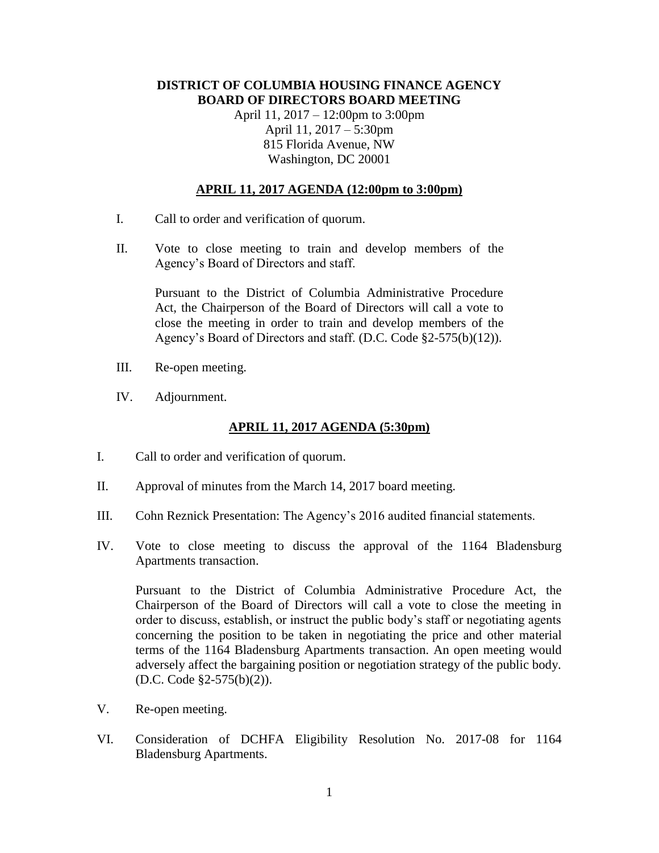## **DISTRICT OF COLUMBIA HOUSING FINANCE AGENCY BOARD OF DIRECTORS BOARD MEETING**

April 11, 2017 – 12:00pm to 3:00pm April 11, 2017 – 5:30pm 815 Florida Avenue, NW Washington, DC 20001

## **APRIL 11, 2017 AGENDA (12:00pm to 3:00pm)**

- I. Call to order and verification of quorum.
- II. Vote to close meeting to train and develop members of the Agency's Board of Directors and staff.

Pursuant to the District of Columbia Administrative Procedure Act, the Chairperson of the Board of Directors will call a vote to close the meeting in order to train and develop members of the Agency's Board of Directors and staff. (D.C. Code §2-575(b)(12)).

- III. Re-open meeting.
- IV. Adjournment.

## **APRIL 11, 2017 AGENDA (5:30pm)**

- I. Call to order and verification of quorum.
- II. Approval of minutes from the March 14, 2017 board meeting.
- III. Cohn Reznick Presentation: The Agency's 2016 audited financial statements.
- IV. Vote to close meeting to discuss the approval of the 1164 Bladensburg Apartments transaction.

Pursuant to the District of Columbia Administrative Procedure Act, the Chairperson of the Board of Directors will call a vote to close the meeting in order to discuss, establish, or instruct the public body's staff or negotiating agents concerning the position to be taken in negotiating the price and other material terms of the 1164 Bladensburg Apartments transaction. An open meeting would adversely affect the bargaining position or negotiation strategy of the public body. (D.C. Code §2-575(b)(2)).

- V. Re-open meeting.
- VI. Consideration of DCHFA Eligibility Resolution No. 2017-08 for 1164 Bladensburg Apartments.